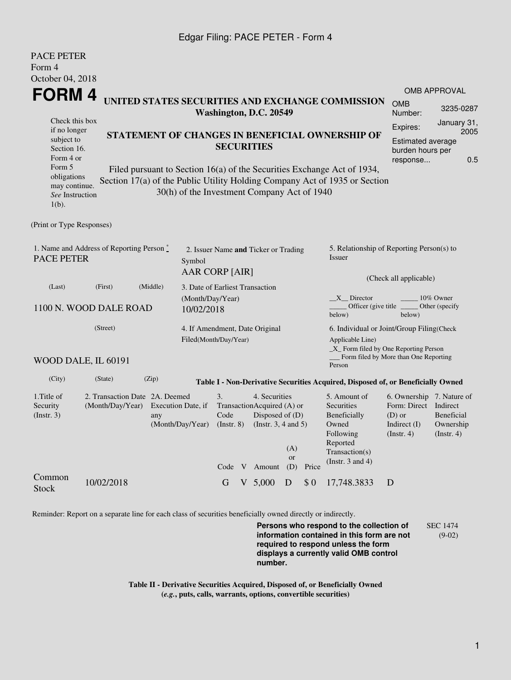## Edgar Filing: PACE PETER - Form 4

| <b>PACE PETER</b>                                                          |                                                   |                         |                                                         |                                                 |  |                                             |                       |                                           |                                                                                  |                                       |                                |  |
|----------------------------------------------------------------------------|---------------------------------------------------|-------------------------|---------------------------------------------------------|-------------------------------------------------|--|---------------------------------------------|-----------------------|-------------------------------------------|----------------------------------------------------------------------------------|---------------------------------------|--------------------------------|--|
| Form 4                                                                     |                                                   |                         |                                                         |                                                 |  |                                             |                       |                                           |                                                                                  |                                       |                                |  |
| October 04, 2018                                                           |                                                   |                         |                                                         |                                                 |  |                                             |                       |                                           |                                                                                  |                                       |                                |  |
| FORM 4                                                                     |                                                   |                         |                                                         |                                                 |  |                                             |                       |                                           | <b>OMB APPROVAL</b>                                                              |                                       |                                |  |
| UNITED STATES SECURITIES AND EXCHANGE COMMISSION<br>Washington, D.C. 20549 |                                                   |                         |                                                         |                                                 |  |                                             | <b>OMB</b><br>Number: | 3235-0287                                 |                                                                                  |                                       |                                |  |
| Check this box<br>if no longer                                             |                                                   |                         |                                                         |                                                 |  |                                             |                       |                                           |                                                                                  | Expires:                              | January 31,                    |  |
| subject to                                                                 |                                                   |                         |                                                         | STATEMENT OF CHANGES IN BENEFICIAL OWNERSHIP OF |  |                                             |                       |                                           |                                                                                  | <b>Estimated average</b>              | 2005                           |  |
| Section 16.                                                                |                                                   |                         |                                                         | <b>SECURITIES</b>                               |  |                                             |                       |                                           |                                                                                  | burden hours per                      |                                |  |
| Form 4 or<br>Form 5                                                        |                                                   |                         |                                                         |                                                 |  |                                             |                       |                                           |                                                                                  | response                              | 0.5                            |  |
| obligations                                                                |                                                   |                         |                                                         |                                                 |  |                                             |                       |                                           | Filed pursuant to Section 16(a) of the Securities Exchange Act of 1934,          |                                       |                                |  |
| may continue.<br>See Instruction                                           |                                                   |                         |                                                         |                                                 |  | 30(h) of the Investment Company Act of 1940 |                       |                                           | Section 17(a) of the Public Utility Holding Company Act of 1935 or Section       |                                       |                                |  |
| $1(b)$ .                                                                   |                                                   |                         |                                                         |                                                 |  |                                             |                       |                                           |                                                                                  |                                       |                                |  |
| (Print or Type Responses)                                                  |                                                   |                         |                                                         |                                                 |  |                                             |                       |                                           |                                                                                  |                                       |                                |  |
|                                                                            |                                                   |                         |                                                         |                                                 |  |                                             |                       |                                           |                                                                                  |                                       |                                |  |
|                                                                            | 1. Name and Address of Reporting Person $\degree$ |                         |                                                         | 2. Issuer Name and Ticker or Trading            |  |                                             |                       |                                           | 5. Relationship of Reporting Person(s) to                                        |                                       |                                |  |
| <b>PACE PETER</b><br>Symbol                                                |                                                   |                         |                                                         |                                                 |  |                                             |                       |                                           | Issuer                                                                           |                                       |                                |  |
|                                                                            |                                                   |                         | AAR CORP [AIR]                                          |                                                 |  |                                             |                       | (Check all applicable)                    |                                                                                  |                                       |                                |  |
| (Middle)<br>(Last)<br>(First)                                              |                                                   |                         |                                                         | 3. Date of Earliest Transaction                 |  |                                             |                       |                                           |                                                                                  |                                       |                                |  |
|                                                                            |                                                   |                         |                                                         | (Month/Day/Year)                                |  |                                             |                       |                                           | X Director<br>10% Owner                                                          |                                       |                                |  |
| 1100 N. WOOD DALE ROAD<br>10/02/2018                                       |                                                   |                         |                                                         |                                                 |  |                                             |                       |                                           | Officer (give title)<br>below)                                                   | Other (specify                        |                                |  |
| (Street)                                                                   |                                                   |                         | 4. If Amendment, Date Original<br>Filed(Month/Day/Year) |                                                 |  |                                             |                       | 6. Individual or Joint/Group Filing(Check |                                                                                  |                                       |                                |  |
|                                                                            |                                                   |                         |                                                         |                                                 |  |                                             |                       | Applicable Line)                          |                                                                                  |                                       |                                |  |
|                                                                            | WOOD DALE, IL 60191                               |                         |                                                         |                                                 |  |                                             |                       |                                           | _X_ Form filed by One Reporting Person                                           | Form filed by More than One Reporting |                                |  |
|                                                                            |                                                   |                         |                                                         |                                                 |  |                                             |                       |                                           | Person                                                                           |                                       |                                |  |
| (City)                                                                     | (State)                                           | (Zip)                   |                                                         |                                                 |  |                                             |                       |                                           | Table I - Non-Derivative Securities Acquired, Disposed of, or Beneficially Owned |                                       |                                |  |
| 1. Title of                                                                | 2. Transaction Date 2A. Deemed                    |                         |                                                         | 3.<br>4. Securities                             |  |                                             |                       |                                           | 5. Amount of                                                                     | 6. Ownership 7. Nature of             |                                |  |
| Security                                                                   | (Month/Day/Year)                                  | Execution Date, if      |                                                         | TransactionAcquired (A) or<br>Disposed of (D)   |  |                                             | Securities            | Form: Direct Indirect                     |                                                                                  |                                       |                                |  |
| (Insert. 3)                                                                |                                                   | any<br>(Month/Day/Year) | Code<br>$($ Instr. $8)$                                 |                                                 |  | (Instr. $3, 4$ and $5$ )                    |                       |                                           | Beneficially<br>Owned                                                            | $(D)$ or<br>Indirect $(I)$            | <b>Beneficial</b><br>Ownership |  |
|                                                                            |                                                   |                         |                                                         |                                                 |  |                                             |                       | Following                                 | $($ Instr. 4 $)$                                                                 | $($ Instr. 4 $)$                      |                                |  |
|                                                                            |                                                   |                         |                                                         |                                                 |  |                                             | (A)                   |                                           | Reported                                                                         |                                       |                                |  |
|                                                                            |                                                   |                         |                                                         |                                                 |  |                                             | or                    |                                           | Transaction(s)<br>(Instr. $3$ and $4$ )                                          |                                       |                                |  |
|                                                                            |                                                   |                         |                                                         |                                                 |  | Code V Amount                               | (D)                   | Price                                     |                                                                                  |                                       |                                |  |
| Common<br><b>Stock</b>                                                     | 10/02/2018                                        |                         |                                                         | G                                               |  | $V$ 5,000                                   | D                     | \$0                                       | 17,748.3833                                                                      | D                                     |                                |  |
|                                                                            |                                                   |                         |                                                         |                                                 |  |                                             |                       |                                           |                                                                                  |                                       |                                |  |

Reminder: Report on a separate line for each class of securities beneficially owned directly or indirectly.

**Persons who respond to the collection of information contained in this form are not required to respond unless the form displays a currently valid OMB control number.** SEC 1474 (9-02)

**Table II - Derivative Securities Acquired, Disposed of, or Beneficially Owned (***e.g.***, puts, calls, warrants, options, convertible securities)**